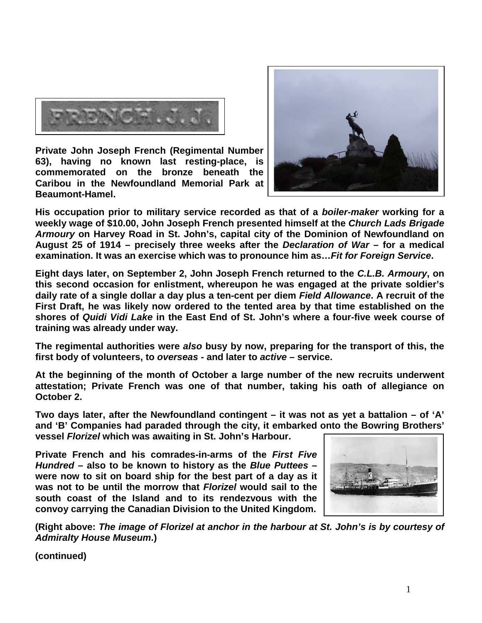

**Private John Joseph French (Regimental Number 63), having no known last resting-place, is commemorated on the bronze beneath the Caribou in the Newfoundland Memorial Park at Beaumont-Hamel.** 



**His occupation prior to military service recorded as that of a** *boiler-maker* **working for a weekly wage of \$10.00, John Joseph French presented himself at the** *Church Lads Brigade Armoury* **on Harvey Road in St. John's, capital city of the Dominion of Newfoundland on August 25 of 1914 – precisely three weeks after the** *Declaration of War* **– for a medical examination. It was an exercise which was to pronounce him as…***Fit for Foreign Service***.**

**Eight days later, on September 2, John Joseph French returned to the** *C.L.B. Armoury***, on this second occasion for enlistment, whereupon he was engaged at the private soldier's daily rate of a single dollar a day plus a ten-cent per diem** *Field Allowance***. A recruit of the First Draft, he was likely now ordered to the tented area by that time established on the shores of** *Quidi Vidi Lake* **in the East End of St. John's where a four-five week course of training was already under way.**

**The regimental authorities were** *also* **busy by now, preparing for the transport of this, the first body of volunteers, to** *overseas* **- and later to** *active* **– service.**

**At the beginning of the month of October a large number of the new recruits underwent attestation; Private French was one of that number, taking his oath of allegiance on October 2.**

**Two days later, after the Newfoundland contingent – it was not as yet a battalion – of 'A' and 'B' Companies had paraded through the city, it embarked onto the Bowring Brothers' vessel** *Florizel* **which was awaiting in St. John's Harbour.** 

**Private French and his comrades-in-arms of the** *First Five Hundred* **– also to be known to history as the** *Blue Puttees* **– were now to sit on board ship for the best part of a day as it was not to be until the morrow that** *Florizel* **would sail to the south coast of the Island and to its rendezvous with the convoy carrying the Canadian Division to the United Kingdom.**



**(Right above:** *The image of Florizel at anchor in the harbour at St. John's is by courtesy of Admiralty House Museum***.)**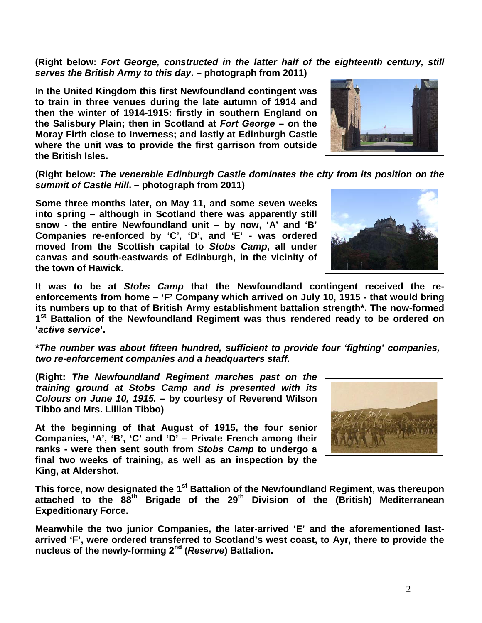**(Right below:** *Fort George, constructed in the latter half of the eighteenth century, still serves the British Army to this day***. – photograph from 2011)**

**In the United Kingdom this first Newfoundland contingent was to train in three venues during the late autumn of 1914 and then the winter of 1914-1915: firstly in southern England on the Salisbury Plain; then in Scotland at** *Fort George* **– on the Moray Firth close to Inverness; and lastly at Edinburgh Castle where the unit was to provide the first garrison from outside the British Isles.** 

**(Right below:** *The venerable Edinburgh Castle dominates the city from its position on the summit of Castle Hill***. – photograph from 2011)**

**Some three months later, on May 11, and some seven weeks into spring – although in Scotland there was apparently still snow - the entire Newfoundland unit – by now, 'A' and 'B' Companies re-enforced by 'C', 'D', and 'E' - was ordered moved from the Scottish capital to** *Stobs Camp***, all under canvas and south-eastwards of Edinburgh, in the vicinity of the town of Hawick.** 

**It was to be at** *Stobs Camp* **that the Newfoundland contingent received the reenforcements from home – 'F' Company which arrived on July 10, 1915 - that would bring its numbers up to that of British Army establishment battalion strength\*. The now-formed 1st Battalion of the Newfoundland Regiment was thus rendered ready to be ordered on '***active service***'.**

**\****The number was about fifteen hundred, sufficient to provide four 'fighting' companies, two re-enforcement companies and a headquarters staff.*

**(Right:** *The Newfoundland Regiment marches past on the training ground at Stobs Camp and is presented with its Colours on June 10, 1915.* **– by courtesy of Reverend Wilson Tibbo and Mrs. Lillian Tibbo)**

**At the beginning of that August of 1915, the four senior Companies, 'A', 'B', 'C' and 'D' – Private French among their ranks - were then sent south from** *Stobs Camp* **to undergo a final two weeks of training, as well as an inspection by the King, at Aldershot.** 



**This force, now designated the 1st Battalion of the Newfoundland Regiment, was thereupon attached to the 88th Brigade of the 29th Division of the (British) Mediterranean Expeditionary Force.**

**Meanwhile the two junior Companies, the later-arrived 'E' and the aforementioned lastarrived 'F', were ordered transferred to Scotland's west coast, to Ayr, there to provide the nucleus of the newly-forming 2nd (***Reserve***) Battalion.**

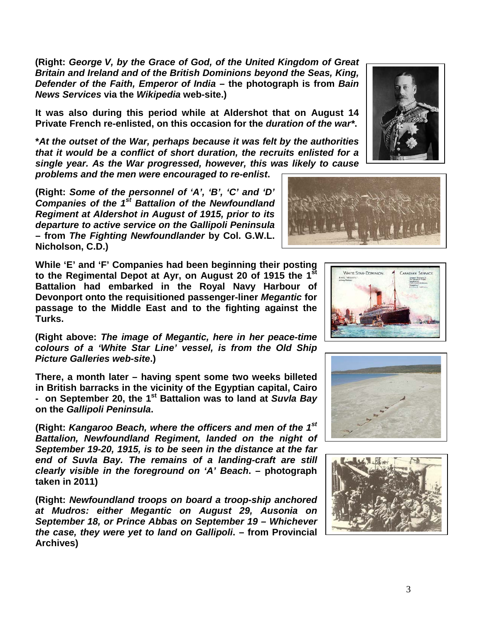**(Right:** *George V, by the Grace of God, of the United Kingdom of Great Britain and Ireland and of the British Dominions beyond the Seas, King, Defender of the Faith, Emperor of India* **– the photograph is from** *Bain News Services* **via the** *Wikipedia* **web-site.)**

**It was also during this period while at Aldershot that on August 14 Private French re-enlisted, on this occasion for the** *duration of the war\****.**

**\****At the outset of the War, perhaps because it was felt by the authorities that it would be a conflict of short duration, the recruits enlisted for a single year. As the War progressed, however, this was likely to cause problems and the men were encouraged to re-enlist***.**

**(Right:** *Some of the personnel of 'A', 'B', 'C' and 'D' Companies of the 1st Battalion of the Newfoundland Regiment at Aldershot in August of 1915, prior to its departure to active service on the Gallipoli Peninsula*  **– from** *The Fighting Newfoundlander* **by Col. G.W.L. Nicholson, C.D.)**

**While 'E' and 'F' Companies had been beginning their posting to the Regimental Depot at Ayr, on August 20 of 1915 the 1st Battalion had embarked in the Royal Navy Harbour of Devonport onto the requisitioned passenger-liner** *Megantic* **for passage to the Middle East and to the fighting against the Turks.** 

**(Right above:** *The image of Megantic, here in her peace-time colours of a 'White Star Line' vessel, is from the Old Ship Picture Galleries web-site***.)**

**There, a month later – having spent some two weeks billeted in British barracks in the vicinity of the Egyptian capital, Cairo - on September 20, the 1st Battalion was to land at** *Suvla Bay* **on the** *Gallipoli Peninsula***.**

**(Right:** *Kangaroo Beach, where the officers and men of the 1st Battalion, Newfoundland Regiment, landed on the night of September 19-20, 1915, is to be seen in the distance at the far end of Suvla Bay. The remains of a landing-craft are still clearly visible in the foreground on 'A' Beach***. – photograph taken in 2011)**

**(Right:** *Newfoundland troops on board a troop-ship anchored at Mudros: either Megantic on August 29, Ausonia on September 18, or Prince Abbas on September 19 – Whichever the case, they were yet to land on Gallipoli***. – from Provincial Archives)**









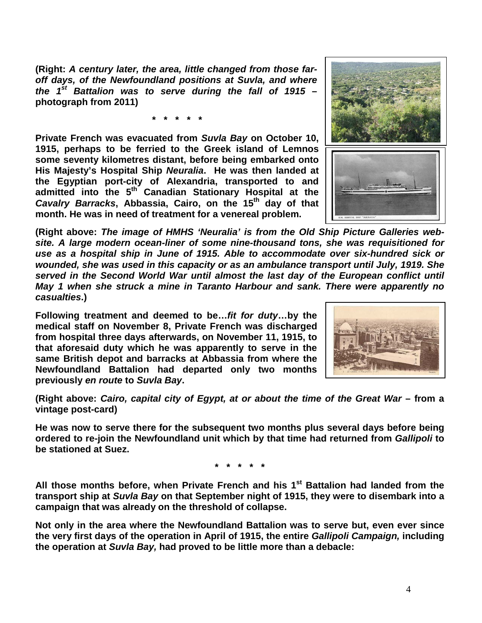**(Right:** *A century later, the area, little changed from those faroff days, of the Newfoundland positions at Suvla, and where the 1st Battalion was to serve during the fall of 1915* **– photograph from 2011)**

**\* \* \* \* \***

**Private French was evacuated from** *Suvla Bay* **on October 10, 1915, perhaps to be ferried to the Greek island of Lemnos some seventy kilometres distant, before being embarked onto His Majesty's Hospital Ship** *Neuralia***. He was then landed at the Egyptian port-city of Alexandria, transported to and admitted into the 5th Canadian Stationary Hospital at the**  *Cavalry Barracks***, Abbassia, Cairo, on the 15th day of that month. He was in need of treatment for a venereal problem.**



**(Right above:** *The image of HMHS 'Neuralia' is from the Old Ship Picture Galleries website. A large modern ocean-liner of some nine-thousand tons, she was requisitioned for use as a hospital ship in June of 1915. Able to accommodate over six-hundred sick or wounded, she was used in this capacity or as an ambulance transport until July, 1919. She served in the Second World War until almost the last day of the European conflict until May 1 when she struck a mine in Taranto Harbour and sank. There were apparently no casualties***.)**

**Following treatment and deemed to be…***fit for duty***…by the medical staff on November 8, Private French was discharged from hospital three days afterwards, on November 11, 1915, to that aforesaid duty which he was apparently to serve in the same British depot and barracks at Abbassia from where the Newfoundland Battalion had departed only two months previously** *en route* **to** *Suvla Bay***.**



**(Right above:** *Cairo, capital city of Egypt, at or about the time of the Great War* **– from a vintage post-card)**

**He was now to serve there for the subsequent two months plus several days before being ordered to re-join the Newfoundland unit which by that time had returned from** *Gallipoli* **to be stationed at Suez.**

**\* \* \* \* \***

**All those months before, when Private French and his 1st Battalion had landed from the transport ship at** *Suvla Bay* **on that September night of 1915, they were to disembark into a campaign that was already on the threshold of collapse.**

**Not only in the area where the Newfoundland Battalion was to serve but, even ever since the very first days of the operation in April of 1915, the entire** *Gallipoli Campaign,* **including the operation at** *Suvla Bay,* **had proved to be little more than a debacle:**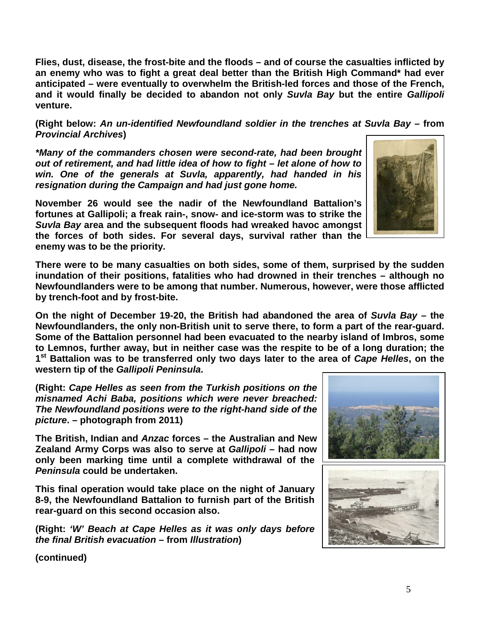**Flies, dust, disease, the frost-bite and the floods – and of course the casualties inflicted by an enemy who was to fight a great deal better than the British High Command\* had ever anticipated – were eventually to overwhelm the British-led forces and those of the French, and it would finally be decided to abandon not only** *Suvla Bay* **but the entire** *Gallipoli* **venture.**

**(Right below:** *An un-identified Newfoundland soldier in the trenches at Suvla Bay –* **from**  *Provincial Archives***)**

*\*Many of the commanders chosen were second-rate, had been brought out of retirement, and had little idea of how to fight – let alone of how to win. One of the generals at Suvla, apparently, had handed in his resignation during the Campaign and had just gone home.* 

**November 26 would see the nadir of the Newfoundland Battalion's fortunes at Gallipoli; a freak rain-, snow- and ice-storm was to strike the**  *Suvla Bay* **area and the subsequent floods had wreaked havoc amongst the forces of both sides. For several days, survival rather than the enemy was to be the priority.**

**There were to be many casualties on both sides, some of them, surprised by the sudden inundation of their positions, fatalities who had drowned in their trenches – although no Newfoundlanders were to be among that number. Numerous, however, were those afflicted by trench-foot and by frost-bite.**

**On the night of December 19-20, the British had abandoned the area of** *Suvla Bay* **– the Newfoundlanders, the only non-British unit to serve there, to form a part of the rear-guard. Some of the Battalion personnel had been evacuated to the nearby island of Imbros, some to Lemnos, further away, but in neither case was the respite to be of a long duration; the 1st Battalion was to be transferred only two days later to the area of** *Cape Helles***, on the western tip of the** *Gallipoli Peninsula***.**

**(Right:** *Cape Helles as seen from the Turkish positions on the misnamed Achi Baba, positions which were never breached: The Newfoundland positions were to the right-hand side of the picture***. – photograph from 2011)**

**The British, Indian and** *Anzac* **forces – the Australian and New Zealand Army Corps was also to serve at** *Gallipoli* **– had now only been marking time until a complete withdrawal of the**  *Peninsula* **could be undertaken.** 

**This final operation would take place on the night of January 8-9, the Newfoundland Battalion to furnish part of the British rear-guard on this second occasion also.**

**(Right:** *'W' Beach at Cape Helles as it was only days before the final British evacuation* **– from** *Illustration***)**



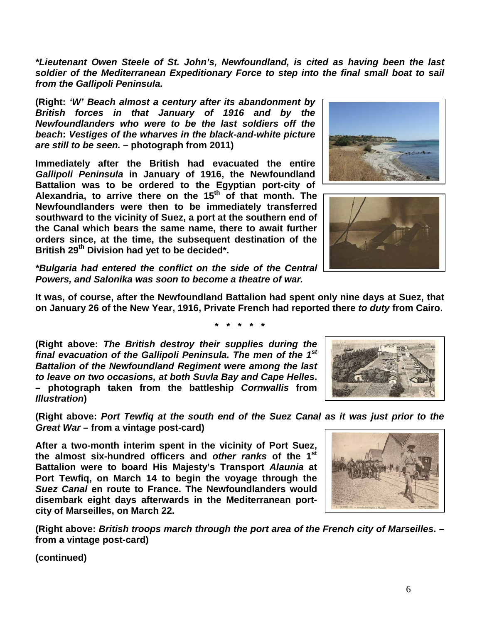*\*Lieutenant Owen Steele of St. John's, Newfoundland, is cited as having been the last soldier of the Mediterranean Expeditionary Force to step into the final small boat to sail from the Gallipoli Peninsula.*

**(Right:** *'W' Beach almost a century after its abandonment by British forces in that January of 1916 and by the Newfoundlanders who were to be the last soldiers off the beach***:** *Vestiges of the wharves in the black-and-white picture are still to be seen.* **– photograph from 2011)**

**Immediately after the British had evacuated the entire**  *Gallipoli Peninsula* **in January of 1916, the Newfoundland Battalion was to be ordered to the Egyptian port-city of Alexandria, to arrive there on the 15th of that month. The Newfoundlanders were then to be immediately transferred southward to the vicinity of Suez, a port at the southern end of the Canal which bears the same name, there to await further orders since, at the time, the subsequent destination of the British 29th Division had yet to be decided\*.**

*\*Bulgaria had entered the conflict on the side of the Central Powers, and Salonika was soon to become a theatre of war.*

**It was, of course, after the Newfoundland Battalion had spent only nine days at Suez, that on January 26 of the New Year, 1916, Private French had reported there** *to duty* **from Cairo.**

**\* \* \* \* \***

**(Right above:** *The British destroy their supplies during the final evacuation of the Gallipoli Peninsula. The men of the 1st Battalion of the Newfoundland Regiment were among the last to leave on two occasions, at both Suvla Bay and Cape Helles***. – photograph taken from the battleship** *Cornwallis* **from**  *Illustration***)**

**(Right above:** *Port Tewfiq at the south end of the Suez Canal as it was just prior to the Great War* **– from a vintage post-card)**

**After a two-month interim spent in the vicinity of Port Suez, the almost six-hundred officers and** *other ranks* **of the 1st Battalion were to board His Majesty's Transport** *Alaunia* **at Port Tewfiq, on March 14 to begin the voyage through the**  *Suez Canal* **en route to France. The Newfoundlanders would disembark eight days afterwards in the Mediterranean portcity of Marseilles, on March 22.**

**(Right above:** *British troops march through the port area of the French city of Marseilles***. – from a vintage post-card)**







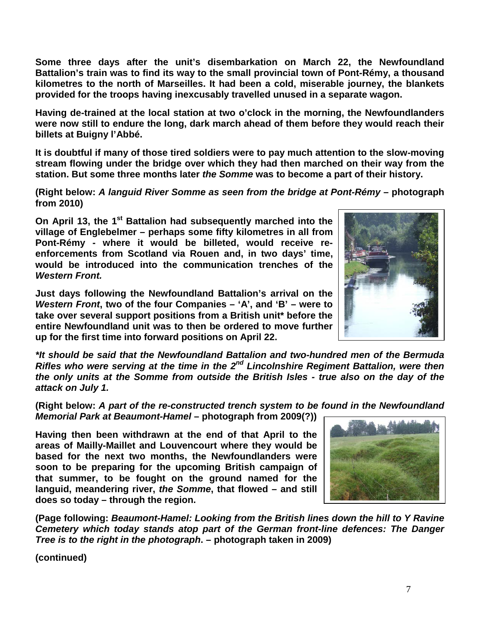**Some three days after the unit's disembarkation on March 22, the Newfoundland Battalion's train was to find its way to the small provincial town of Pont-Rémy, a thousand kilometres to the north of Marseilles. It had been a cold, miserable journey, the blankets provided for the troops having inexcusably travelled unused in a separate wagon.**

**Having de-trained at the local station at two o'clock in the morning, the Newfoundlanders were now still to endure the long, dark march ahead of them before they would reach their billets at Buigny l'Abbé.**

**It is doubtful if many of those tired soldiers were to pay much attention to the slow-moving stream flowing under the bridge over which they had then marched on their way from the station. But some three months later** *the Somme* **was to become a part of their history.**

**(Right below:** *A languid River Somme as seen from the bridge at Pont-Rémy* **– photograph from 2010)**

**On April 13, the 1st Battalion had subsequently marched into the village of Englebelmer – perhaps some fifty kilometres in all from Pont-Rémy - where it would be billeted, would receive reenforcements from Scotland via Rouen and, in two days' time, would be introduced into the communication trenches of the**  *Western Front.*

**Just days following the Newfoundland Battalion's arrival on the**  *Western Front***, two of the four Companies – 'A', and 'B' – were to take over several support positions from a British unit\* before the entire Newfoundland unit was to then be ordered to move further up for the first time into forward positions on April 22.**

*\*It should be said that the Newfoundland Battalion and two-hundred men of the Bermuda Rifles who were serving at the time in the 2nd Lincolnshire Regiment Battalion, were then the only units at the Somme from outside the British Isles - true also on the day of the attack on July 1.*

**(Right below:** *A part of the re-constructed trench system to be found in the Newfoundland Memorial Park at Beaumont-Hamel* **– photograph from 2009(?))**

**Having then been withdrawn at the end of that April to the areas of Mailly-Maillet and Louvencourt where they would be based for the next two months, the Newfoundlanders were soon to be preparing for the upcoming British campaign of that summer, to be fought on the ground named for the languid, meandering river,** *the Somme***, that flowed – and still does so today – through the region.** 

**(Page following:** *Beaumont-Hamel: Looking from the British lines down the hill to Y Ravine Cemetery which today stands atop part of the German front-line defences: The Danger Tree is to the right in the photograph***. – photograph taken in 2009)**



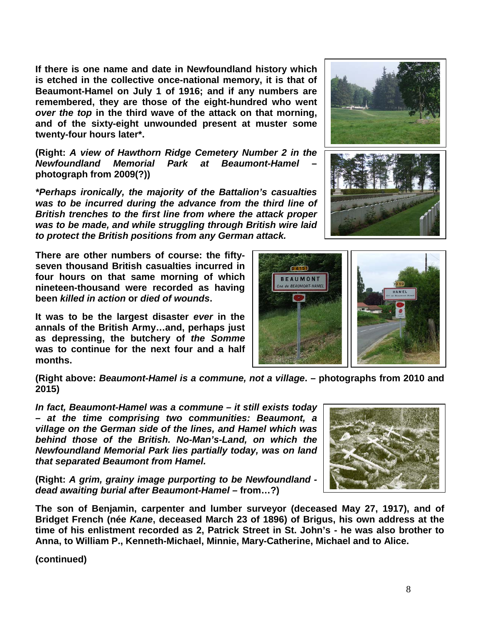**If there is one name and date in Newfoundland history which is etched in the collective once-national memory, it is that of Beaumont-Hamel on July 1 of 1916; and if any numbers are remembered, they are those of the eight-hundred who went**  *over the top* **in the third wave of the attack on that morning, and of the sixty-eight unwounded present at muster some twenty-four hours later\*.**

**(Right:** *A view of Hawthorn Ridge Cemetery Number 2 in the Newfoundland Memorial Park at* **photograph from 2009(?))**

*\*Perhaps ironically, the majority of the Battalion's casualties was to be incurred during the advance from the third line of British trenches to the first line from where the attack proper was to be made, and while struggling through British wire laid to protect the British positions from any German attack.*

**There are other numbers of course: the fiftyseven thousand British casualties incurred in four hours on that same morning of which nineteen-thousand were recorded as having been** *killed in action* **or** *died of wounds***.** 

**It was to be the largest disaster** *ever* **in the annals of the British Army…and, perhaps just as depressing, the butchery of** *the Somme* **was to continue for the next four and a half months.**

**(Right above:** *Beaumont-Hamel is a commune, not a village***. – photographs from 2010 and 2015)**

*village on the German side of the lines, and Hamel which was behind those of the British. No-Man's-Land, on which the Newfoundland Memorial Park lies partially today, was on land that separated Beaumont from Hamel.* 

**(Right:** *A grim, grainy image purporting to be Newfoundland dead awaiting burial after Beaumont-Hamel –* **from…?)**

**The son of Benjamin, carpenter and lumber surveyor (deceased May 27, 1917), and of Bridget French (née** *Kane***, deceased March 23 of 1896) of Brigus, his own address at the time of his enlistment recorded as 2, Patrick Street in St. John's - he was also brother to Anna, to William P., Kenneth-Michael, Minnie, Mary-Catherine, Michael and to Alice.**